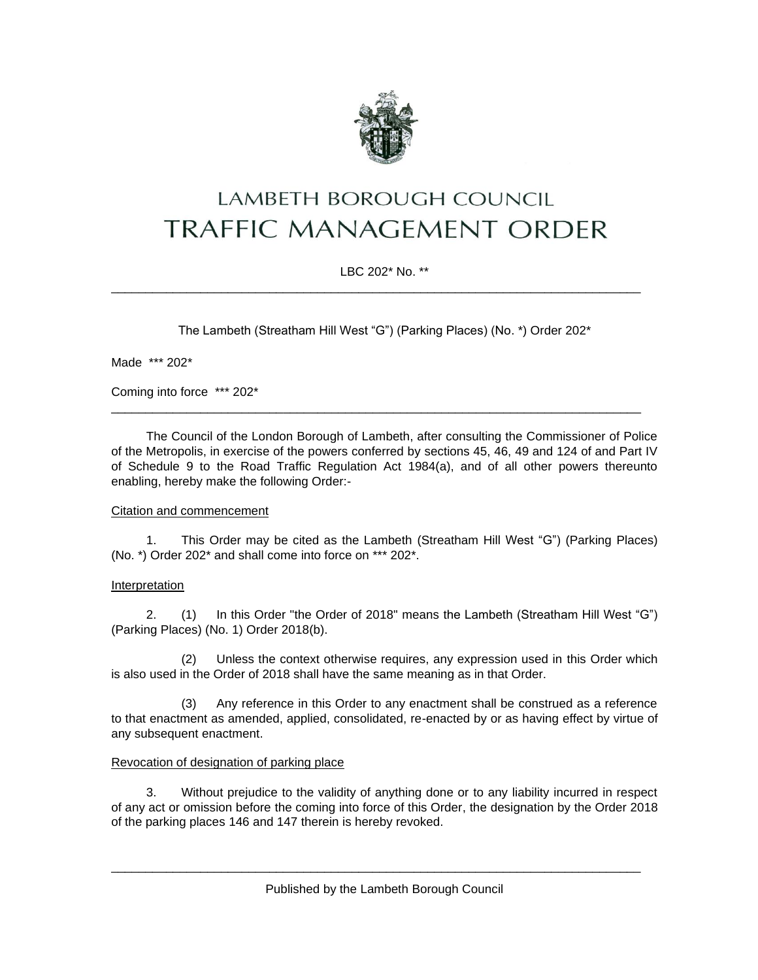

# LAMBETH BOROUGH COUNCIL **TRAFFIC MANAGEMENT ORDER**

## LBC 202\* No. \*\*

\_\_\_\_\_\_\_\_\_\_\_\_\_\_\_\_\_\_\_\_\_\_\_\_\_\_\_\_\_\_\_\_\_\_\_\_\_\_\_\_\_\_\_\_\_\_\_\_\_\_\_\_\_\_\_\_\_\_\_\_\_\_\_\_\_\_\_\_\_\_\_\_\_\_\_\_\_

The Lambeth (Streatham Hill West "G") (Parking Places) (No. \*) Order 202\*

Made \*\*\* 202\*

Coming into force \*\*\* 202\*

The Council of the London Borough of Lambeth, after consulting the Commissioner of Police of the Metropolis, in exercise of the powers conferred by sections 45, 46, 49 and 124 of and Part IV of Schedule 9 to the Road Traffic Regulation Act 1984(a), and of all other powers thereunto enabling, hereby make the following Order:-

\_\_\_\_\_\_\_\_\_\_\_\_\_\_\_\_\_\_\_\_\_\_\_\_\_\_\_\_\_\_\_\_\_\_\_\_\_\_\_\_\_\_\_\_\_\_\_\_\_\_\_\_\_\_\_\_\_\_\_\_\_\_\_\_\_\_\_\_\_\_\_\_\_\_\_\_\_

#### Citation and commencement

1. This Order may be cited as the Lambeth (Streatham Hill West "G") (Parking Places) (No. \*) Order 202\* and shall come into force on \*\*\* 202\*.

#### **Interpretation**

2. (1) In this Order "the Order of 2018" means the Lambeth (Streatham Hill West "G") (Parking Places) (No. 1) Order 2018(b).

(2) Unless the context otherwise requires, any expression used in this Order which is also used in the Order of 2018 shall have the same meaning as in that Order.

(3) Any reference in this Order to any enactment shall be construed as a reference to that enactment as amended, applied, consolidated, re-enacted by or as having effect by virtue of any subsequent enactment.

#### Revocation of designation of parking place

3. Without prejudice to the validity of anything done or to any liability incurred in respect of any act or omission before the coming into force of this Order, the designation by the Order 2018 of the parking places 146 and 147 therein is hereby revoked.

\_\_\_\_\_\_\_\_\_\_\_\_\_\_\_\_\_\_\_\_\_\_\_\_\_\_\_\_\_\_\_\_\_\_\_\_\_\_\_\_\_\_\_\_\_\_\_\_\_\_\_\_\_\_\_\_\_\_\_\_\_\_\_\_\_\_\_\_\_\_\_\_\_\_\_\_\_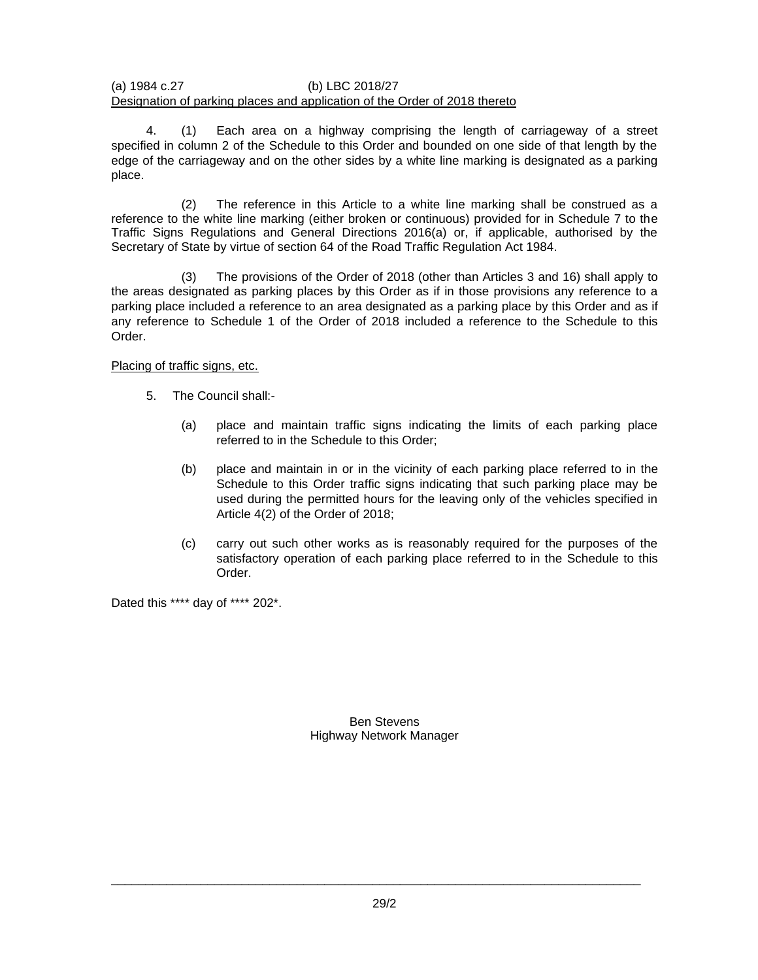#### (a) 1984 c.27 (b) LBC 2018/27 Designation of parking places and application of the Order of 2018 thereto

4. (1) Each area on a highway comprising the length of carriageway of a street specified in column 2 of the Schedule to this Order and bounded on one side of that length by the edge of the carriageway and on the other sides by a white line marking is designated as a parking place.

(2) The reference in this Article to a white line marking shall be construed as a reference to the white line marking (either broken or continuous) provided for in Schedule 7 to the Traffic Signs Regulations and General Directions 2016(a) or, if applicable, authorised by the Secretary of State by virtue of section 64 of the Road Traffic Regulation Act 1984.

(3) The provisions of the Order of 2018 (other than Articles 3 and 16) shall apply to the areas designated as parking places by this Order as if in those provisions any reference to a parking place included a reference to an area designated as a parking place by this Order and as if any reference to Schedule 1 of the Order of 2018 included a reference to the Schedule to this Order.

### Placing of traffic signs, etc.

- 5. The Council shall:-
	- (a) place and maintain traffic signs indicating the limits of each parking place referred to in the Schedule to this Order;
	- (b) place and maintain in or in the vicinity of each parking place referred to in the Schedule to this Order traffic signs indicating that such parking place may be used during the permitted hours for the leaving only of the vehicles specified in Article 4(2) of the Order of 2018;
	- (c) carry out such other works as is reasonably required for the purposes of the satisfactory operation of each parking place referred to in the Schedule to this Order.

Dated this \*\*\*\* day of \*\*\*\* 202\*.

Ben Stevens Highway Network Manager

\_\_\_\_\_\_\_\_\_\_\_\_\_\_\_\_\_\_\_\_\_\_\_\_\_\_\_\_\_\_\_\_\_\_\_\_\_\_\_\_\_\_\_\_\_\_\_\_\_\_\_\_\_\_\_\_\_\_\_\_\_\_\_\_\_\_\_\_\_\_\_\_\_\_\_\_\_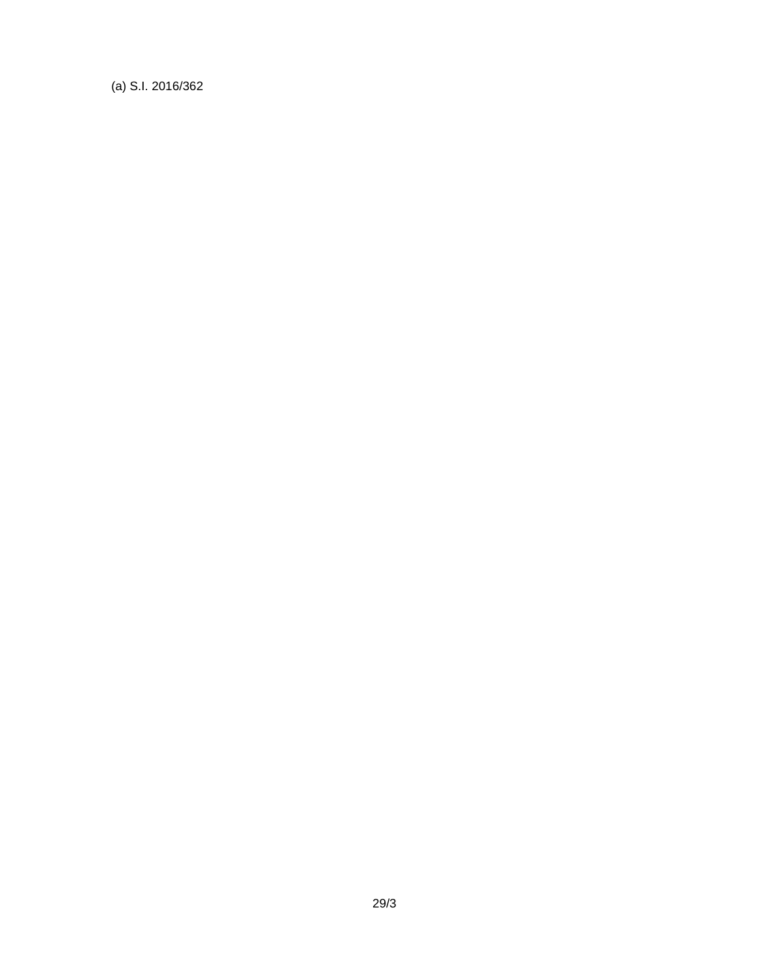(a) S.I. 2016/362